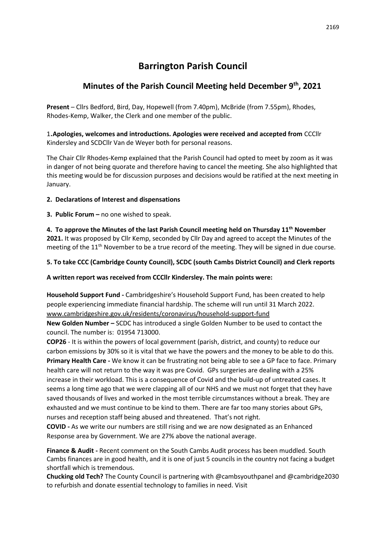# **Barrington Parish Council**

# **Minutes of the Parish Council Meeting held December 9th, 2021**

**Present** – Cllrs Bedford, Bird, Day, Hopewell (from 7.40pm), McBride (from 7.55pm), Rhodes, Rhodes-Kemp, Walker, the Clerk and one member of the public.

1.**Apologies, welcomes and introductions. Apologies were received and accepted from** CCCllr Kindersley and SCDCllr Van de Weyer both for personal reasons.

The Chair Cllr Rhodes-Kemp explained that the Parish Council had opted to meet by zoom as it was in danger of not being quorate and therefore having to cancel the meeting. She also highlighted that this meeting would be for discussion purposes and decisions would be ratified at the next meeting in January.

# **2. Declarations of Interest and dispensations**

**3. Public Forum –** no one wished to speak.

**4. To approve the Minutes of the last Parish Council meeting held on Thursday 11th November 2021.** It was proposed by Cllr Kemp, seconded by Cllr Day and agreed to accept the Minutes of the meeting of the 11<sup>th</sup> November to be a true record of the meeting. They will be signed in due course.

# **5. To take CCC (Cambridge County Council), SCDC (south Cambs District Council) and Clerk reports**

**A written report was received from CCCllr Kindersley. The main points were:**

**Household Support Fund -** Cambridgeshire's Household Support Fund, has been created to help people experiencing immediate financial hardship. The scheme will run until 31 March 2022. [www.cambridgeshire.gov.uk/residents/coronavirus/household-support-fund](http://www.cambridgeshire.gov.uk/residents/coronavirus/household-support-fund)

**New Golden Number –** SCDC has introduced a single Golden Number to be used to contact the council. The number is: 01954 713000.

**COP26** - It is within the powers of local government (parish, district, and county) to reduce our carbon emissions by 30% so it is vital that we have the powers and the money to be able to do this. **Primary Health Care -** We know it can be frustrating not being able to see a GP face to face. Primary health care will not return to the way it was pre Covid. GPs surgeries are dealing with a 25% increase in their workload. This is a consequence of Covid and the build-up of untreated cases. It seems a long time ago that we were clapping all of our NHS and we must not forget that they have saved thousands of lives and worked in the most terrible circumstances without a break. They are exhausted and we must continue to be kind to them. There are far too many stories about GPs, nurses and reception staff being abused and threatened. That's not right.

**COVID -** As we write our numbers are still rising and we are now designated as an Enhanced Response area by Government. We are 27% above the national average.

**Finance & Audit -** Recent comment on the South Cambs Audit process has been muddled. South Cambs finances are in good health, and it is one of just 5 councils in the country not facing a budget shortfall which is tremendous.

**Chucking old Tech?** The County Council is partnering with @cambsyouthpanel and @cambridge2030 to refurbish and donate essential technology to families in need. Visit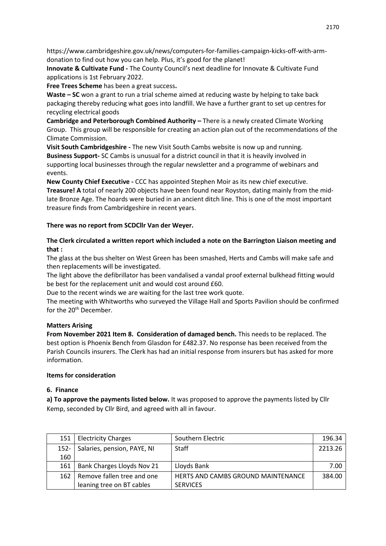https://www.cambridgeshire.gov.uk/news/computers-for-families-campaign-kicks-off-with-armdonation to find out how you can help. Plus, it's good for the planet!

**Innovate & Cultivate Fund -** The County Council's next deadline for Innovate & Cultivate Fund applications is 1st February 2022.

**Free Trees Scheme** has been a great success**.**

**Waste – SC** won a grant to run a trial scheme aimed at reducing waste by helping to take back packaging thereby reducing what goes into landfill. We have a further grant to set up centres for recycling electrical goods

**Cambridge and Peterborough Combined Authority –** There is a newly created Climate Working Group. This group will be responsible for creating an action plan out of the recommendations of the Climate Commission.

**Visit South Cambridgeshire -** The new Visit South Cambs website is now up and running. **Business Support-** SC Cambs is unusual for a district council in that it is heavily involved in supporting local businesses through the regular newsletter and a programme of webinars and events.

**New County Chief Executive -** CCC has appointed Stephen Moir as its new chief executive. **Treasure! A** total of nearly 200 objects have been found near Royston, dating mainly from the midlate Bronze Age. The hoards were buried in an ancient ditch line. This is one of the most important treasure finds from Cambridgeshire in recent years.

#### **There was no report from SCDCllr Van der Weyer.**

### **The Clerk circulated a written report which included a note on the Barrington Liaison meeting and that :**

The glass at the bus shelter on West Green has been smashed, Herts and Cambs will make safe and then replacements will be investigated.

The light above the defibrillator has been vandalised a vandal proof external bulkhead fitting would be best for the replacement unit and would cost around £60.

Due to the recent winds we are waiting for the last tree work quote.

The meeting with Whitworths who surveyed the Village Hall and Sports Pavilion should be confirmed for the 20<sup>th</sup> December.

#### **Matters Arising**

**From November 2021 Item 8. Consideration of damaged bench.** This needs to be replaced. The best option is Phoenix Bench from Glasdon for £482.37. No response has been received from the Parish Councils insurers. The Clerk has had an initial response from insurers but has asked for more information.

#### **Items for consideration**

#### **6. Finance**

**a) To approve the payments listed below.** It was proposed to approve the payments listed by Cllr Kemp, seconded by Cllr Bird, and agreed with all in favour.

| 151     | <b>Electricity Charges</b>  | Southern Electric                         | 196.34  |
|---------|-----------------------------|-------------------------------------------|---------|
| $152 -$ | Salaries, pension, PAYE, NI | <b>Staff</b>                              | 2213.26 |
| 160     |                             |                                           |         |
| 161     | Bank Charges Lloyds Nov 21  | Lloyds Bank                               | 7.00    |
| 162     | Remove fallen tree and one  | <b>HERTS AND CAMBS GROUND MAINTENANCE</b> | 384.00  |
|         | leaning tree on BT cables   | <b>SERVICES</b>                           |         |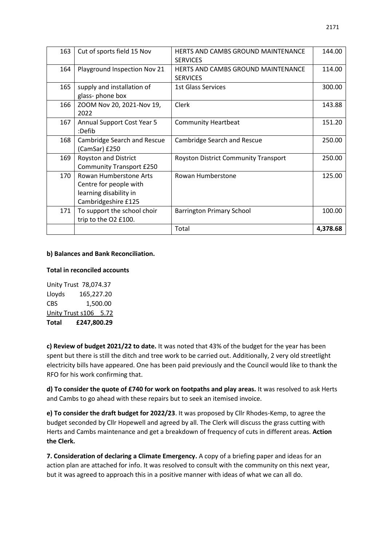| 163 | Cut of sports field 15 Nov                                                                        | <b>HERTS AND CAMBS GROUND MAINTENANCE</b><br><b>SERVICES</b> | 144.00   |
|-----|---------------------------------------------------------------------------------------------------|--------------------------------------------------------------|----------|
| 164 | Playground Inspection Nov 21                                                                      | HERTS AND CAMBS GROUND MAINTENANCE<br><b>SERVICES</b>        | 114.00   |
| 165 | supply and installation of<br>glass-phone box                                                     | 1st Glass Services                                           | 300.00   |
| 166 | ZOOM Nov 20, 2021-Nov 19,<br>2022                                                                 | Clerk                                                        | 143.88   |
| 167 | <b>Annual Support Cost Year 5</b><br>:Defib                                                       | <b>Community Heartbeat</b>                                   | 151.20   |
| 168 | Cambridge Search and Rescue<br>(CamSar) £250                                                      | Cambridge Search and Rescue                                  | 250.00   |
| 169 | Royston and District<br><b>Community Transport £250</b>                                           | <b>Royston District Community Transport</b>                  | 250.00   |
| 170 | Rowan Humberstone Arts<br>Centre for people with<br>learning disability in<br>Cambridgeshire £125 | Rowan Humberstone                                            | 125.00   |
| 171 | To support the school choir<br>trip to the O2 £100.                                               | <b>Barrington Primary School</b>                             | 100.00   |
|     |                                                                                                   | Total                                                        | 4,378.68 |

#### **b) Balances and Bank Reconciliation.**

#### **Total in reconciled accounts**

Unity Trust 78,074.37 Lloyds 165,227.20 CBS 1,500.00 Unity Trust s106 5.72 **Total £247,800.29**

**c) Review of budget 2021/22 to date.** It was noted that 43% of the budget for the year has been spent but there is still the ditch and tree work to be carried out. Additionally, 2 very old streetlight electricity bills have appeared. One has been paid previously and the Council would like to thank the RFO for his work confirming that.

**d) To consider the quote of £740 for work on footpaths and play areas.** It was resolved to ask Herts and Cambs to go ahead with these repairs but to seek an itemised invoice.

**e) To consider the draft budget for 2022/23**. It was proposed by Cllr Rhodes-Kemp, to agree the budget seconded by Cllr Hopewell and agreed by all. The Clerk will discuss the grass cutting with Herts and Cambs maintenance and get a breakdown of frequency of cuts in different areas. **Action the Clerk.**

**7. Consideration of declaring a Climate Emergency.** A copy of a briefing paper and ideas for an action plan are attached for info. It was resolved to consult with the community on this next year, but it was agreed to approach this in a positive manner with ideas of what we can all do.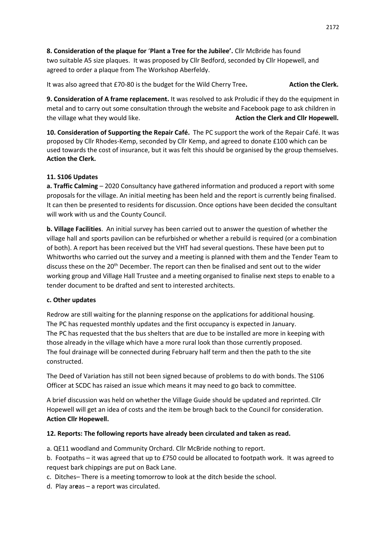**8. Consideration of the plaque for** '**Plant a Tree for the Jubilee'.** Cllr McBride has found two suitable A5 size plaques. It was proposed by Cllr Bedford, seconded by Cllr Hopewell, and agreed to order a plaque from The Workshop Aberfeldy.

It was also agreed that £70-80 is the budget for the Wild Cherry Tree. Action the Clerk.

**9. Consideration of A frame replacement.** It was resolved to ask Proludic if they do the equipment in metal and to carry out some consultation through the website and Facebook page to ask children in the village what they would like. **Action the Clerk and Cllr Hopewell.** 

**10. Consideration of Supporting the Repair Café.** The PC support the work of the Repair Café. It was proposed by Cllr Rhodes-Kemp, seconded by Cllr Kemp, and agreed to donate £100 which can be used towards the cost of insurance, but it was felt this should be organised by the group themselves. **Action the Clerk.**

# **11. S106 Updates**

**a. Traffic Calming** – 2020 Consultancy have gathered information and produced a report with some proposals for the village. An initial meeting has been held and the report is currently being finalised. It can then be presented to residents for discussion. Once options have been decided the consultant will work with us and the County Council.

**b. Village Facilities**. An initial survey has been carried out to answer the question of whether the village hall and sports pavilion can be refurbished or whether a rebuild is required (or a combination of both). A report has been received but the VHT had several questions. These have been put to Whitworths who carried out the survey and a meeting is planned with them and the Tender Team to discuss these on the 20th December. The report can then be finalised and sent out to the wider working group and Village Hall Trustee and a meeting organised to finalise next steps to enable to a tender document to be drafted and sent to interested architects.

# **c. Other updates**

Redrow are still waiting for the planning response on the applications for additional housing. The PC has requested monthly updates and the first occupancy is expected in January. The PC has requested that the bus shelters that are due to be installed are more in keeping with those already in the village which have a more rural look than those currently proposed. The foul drainage will be connected during February half term and then the path to the site constructed.

The Deed of Variation has still not been signed because of problems to do with bonds. The S106 Officer at SCDC has raised an issue which means it may need to go back to committee.

A brief discussion was held on whether the Village Guide should be updated and reprinted. Cllr Hopewell will get an idea of costs and the item be brough back to the Council for consideration. **Action Cllr Hopewell.**

# **12. Reports: The following reports have already been circulated and taken as read.**

a. QE11 woodland and Community Orchard. Cllr McBride nothing to report.

b. Footpaths – it was agreed that up to £750 could be allocated to footpath work. It was agreed to request bark chippings are put on Back Lane.

c. Ditches– There is a meeting tomorrow to look at the ditch beside the school.

d. Play ar**e**as – a report was circulated.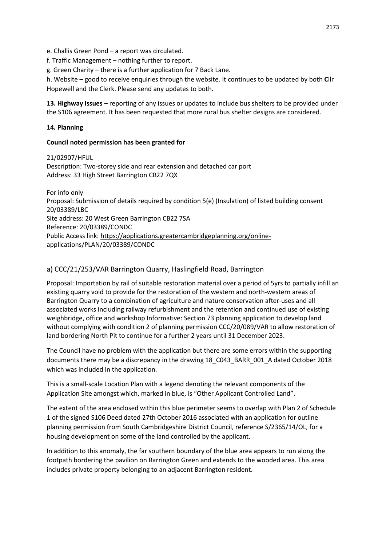e. Challis Green Pond – a report was circulated.

f. Traffic Management – nothing further to report.

g. Green Charity – there is a further application for 7 Back Lane.

h. Website – good to receive enquiries through the website. It continues to be updated by both **C**llr Hopewell and the Clerk. Please send any updates to both.

**13. Highway Issues –** reporting of any issues or updates to include bus shelters to be provided under the S106 agreement. It has been requested that more rural bus shelter designs are considered.

#### **14. Planning**

#### **Council noted permission has been granted for**

21/02907/HFUL Description: Two-storey side and rear extension and detached car port Address: 33 High Street Barrington CB22 7QX

For info only Proposal: Submission of details required by condition 5(e) (Insulation) of listed building consent 20/03389/LBC Site address: 20 West Green Barrington CB22 7SA Reference: 20/03389/CONDC Public Access link: [https://applications.greatercambridgeplanning.org/online](https://applications.greatercambridgeplanning.org/online-applications/PLAN/20/03389/CONDC)[applications/PLAN/20/03389/CONDC](https://applications.greatercambridgeplanning.org/online-applications/PLAN/20/03389/CONDC)

# a) CCC/21/253/VAR Barrington Quarry, Haslingfield Road, Barrington

Proposal: Importation by rail of suitable restoration material over a period of 5yrs to partially infill an existing quarry void to provide for the restoration of the western and north-western areas of Barrington Quarry to a combination of agriculture and nature conservation after-uses and all associated works including railway refurbishment and the retention and continued use of existing weighbridge, office and workshop Informative: Section 73 planning application to develop land without complying with condition 2 of planning permission CCC/20/089/VAR to allow restoration of land bordering North Pit to continue for a further 2 years until 31 December 2023.

The Council have no problem with the application but there are some errors within the supporting documents there may be a discrepancy in the drawing 18\_C043\_BARR\_001\_A dated October 2018 which was included in the application.

This is a small-scale Location Plan with a legend denoting the relevant components of the Application Site amongst which, marked in blue, is "Other Applicant Controlled Land".

The extent of the area enclosed within this blue perimeter seems to overlap with Plan 2 of Schedule 1 of the signed S106 Deed dated 27th October 2016 associated with an application for outline planning permission from South Cambridgeshire District Council, reference S/2365/14/OL, for a housing development on some of the land controlled by the applicant.

In addition to this anomaly, the far southern boundary of the blue area appears to run along the footpath bordering the pavilion on Barrington Green and extends to the wooded area. This area includes private property belonging to an adjacent Barrington resident.